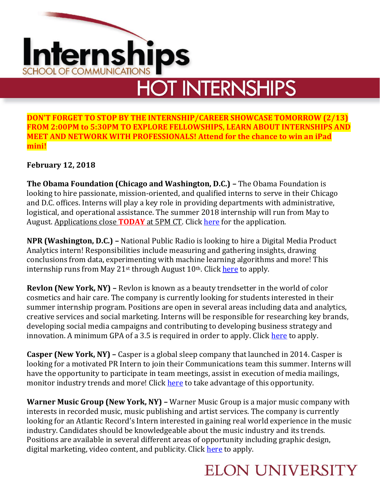# nternships **SCHOOL OF COMMUNICATIONS HOT INTERNSHIPS**

**DON'T FORGET TO STOP BY THE INTERNSHIP/CAREER SHOWCASE TOMORROW (2/13) FROM 2:00PM to 5:30PM TO EXPLORE FELLOWSHIPS, LEARN ABOUT INTERNSHIPS AND MEET AND NETWORK WITH PROFESSIONALS! Attend for the chance to win an iPad mini!**

#### **February 12, 2018**

**The Obama Foundation (Chicago and Washington, D.C.) –** The Obama Foundation is looking to hire passionate, mission-oriented, and qualified interns to serve in their Chicago and D.C. offices. Interns will play a key role in providing departments with administrative, logistical, and operational assistance. The summer 2018 internship will run from May to August. Applications close **TODAY** at 5PM CT. Click [here](https://www.obama.org/internship/?source=20180206_internship&utm_medium=email&utm_source=obamafound&utm_campaign=20180206_internship&utm_content=4+-+Apply+Now) for the application.

**NPR (Washington, D.C.) –** National Public Radio is looking to hire a Digital Media Product Analytics intern! Responsibilities include measuring and gathering insights, drawing conclusions from data, experimenting with machine learning algorithms and more! This internship runs from May 21<sup>st</sup> through August 10<sup>th</sup>. Click [here](https://recruiting.ultipro.com/NAT1011NATPR/JobBoard/af823b19-a43b-4cda-b6c2-c06508d84cf6/OpportunityDetail?opportunityId=711272e5-a6d3-46de-bd6c-a4c70abba38d) to apply.

**Revlon (New York, NY) –** Revlon is known as a beauty trendsetter in the world of color cosmetics and hair care. The company is currently looking for students interested in their summer internship program. Positions are open in several areas including data and analytics, creative services and social marketing. Interns will be responsible for researching key brands, developing social media campaigns and contributing to developing business strategy and innovation. A minimum GPA of a 3.5 is required in order to apply. Click [here](https://recruiting.ultipro.com/REV1000/JobBoard/417e03eb-b841-41ad-4a9a-8258fd438487/OpportunityDetail?opportunityId=60d8868e-6032-4029-ba69-64e81770f339) to apply.

**Casper (New York, NY) –** Casper is a global sleep company that launched in 2014. Casper is looking for a motivated PR Intern to join their Communications team this summer. Interns will have the opportunity to participate in team meetings, assist in execution of media mailings, monitor industry trends and more! Click [here](https://boards.greenhouse.io/casper/jobs/1031631?gh_jid=1031631#.WoHTFZM-elM) to take advantage of this opportunity.

**Warner Music Group (New York, NY) –** Warner Music Group is a major music company with interests in recorded music, music publishing and artist services. The company is currently looking for an Atlantic Record's Intern interested in gaining real world experience in the music industry. Candidates should be knowledgeable about the music industry and its trends. Positions are available in several different areas of opportunity including graphic design, digital marketing, video content, and publicity. Click [here](https://wmg.wd1.myworkdayjobs.com/en-US/WMGUS/job/USA---New-York---1633-Broadway/Summer-2018---Atlantic-Intern---New-York_R-005233-1?source=Indeed) to apply.

## **ELON UNIVERSITY**